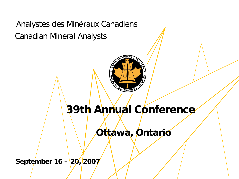Analystes des Minéraux Canadiens Canadian Mineral Analysts



# **39th Annual Conference**

**Ottawa, Ontario**

September 16 – 20, 2007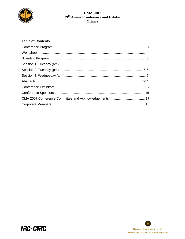

# **Table of Contents**



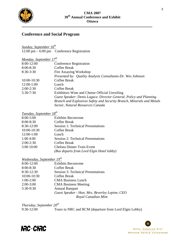

# **Conference and Social Program**

12:00 pm – 6:00 pm – Conference Registration *Sunday, September 16th*

| <u>Monday, September</u> $17^{th}$ |                                                                       |
|------------------------------------|-----------------------------------------------------------------------|
| 8:00-12:00                         | <b>Conference Registration</b>                                        |
| $8:00 - 8:30$                      | Coffee Break                                                          |
| $8:30-3:30$                        | Fire Assaying Workshop                                                |
|                                    | Presented by: Quality Analysis Consultants-Dr. Wes Johnson            |
| 10:00-10:30                        | <b>Coffee Break</b>                                                   |
| $12:00-1:00$                       | Lunch                                                                 |
| $2:00-2:30$                        | Coffee Break                                                          |
| $5:30-7:30$                        | Exhibitors Wine and Cheese Official Unveiling                         |
|                                    | Guest Speaker: Denis Lagace. Director General, Policy and Planning    |
|                                    | Branch and Explosives Safety and Security Branch, Minerals and Metals |
|                                    | Sector, Natural Resources Canada                                      |

# *Tuesday, September 18th*

| $8:00 - 5:00$ | <b>Exhibits Reconvene</b>                 |
|---------------|-------------------------------------------|
| $8:00 - 8:30$ | Coffee Break                              |
| 8:30-12:00    | <b>Session 1: Technical Presentations</b> |
| 10:00-10:30   | Coffee Break                              |
| $12:00-1:00$  | Lunch                                     |
| 1:004:00      | <b>Session 2: Technical Presentations</b> |
| $2:00-2:30$   | Coffee Break                              |
| 5:00 10:00    | <b>Chelsea Dinner Train Event</b>         |
|               | (Bus departs from Lord Elgin Hotel lobby) |

# *Wednesday, September 19th*

| 8:00-12:00  | <b>Exhibits Reconvene</b>                      |
|-------------|------------------------------------------------|
| 8:00-8:30   | Coffee Break                                   |
| 8:30-12:30  | <b>Session 3: Technical Presentations</b>      |
| 10:00-10:30 | Coffee Break                                   |
| $1:00-2:00$ | <b>CMA Business Lunch</b>                      |
| $2:00-3:00$ | <b>CMA Business Meeting</b>                    |
| 5:30-9:30   | <b>Annual Banquet</b>                          |
|             | Guest Speaker - Hon. Mrs. Beverley Lepine, CEO |
|             | Royal Canadian Mint                            |

*Thursday, September 20<sup>th</sup>*<br>9:30-12:00 *Tou* Tours to NRC and RCM (departure from Lord Elgin Lobby)



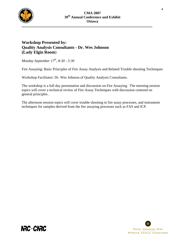

# **Workshop Presented by: Quality Analysis Consultants - Dr. Wes Johnson (Lady Elgin Room**)

*Monday September 17th, 8:30 - 3:30* 

**NAC CNAC** 

Fire Assaying: Basic Principles of Fire Assay Analysis and Related Trouble shooting Techniques

Workshop Facilitator: Dr. Wes Johnson of Quality Analysis Consultants.

The workshop is a full day presentation and discussion on Fire Assaying. The morning session topics will cover a technical review of Fire Assay Techniques with discussion centered on general principles .

The afternoon session topics will cover trouble shooting in fire assay processes, and instrument techniques for samples derived from the fire assaying processes such as FAS and ICP.

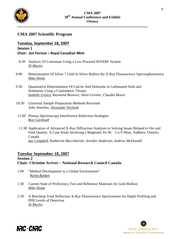

# **CMA 2007 Scientific Program**

# *S***ession 1 Tuesday, September 18, 2007**

# **Chair: Jon Forrest – Royal Canadian Mint**

- 8:30 Analysis Of Limestone Using a Low Powered WDXRF System  *Al Martin*
- 9:00 Determination Of Silver 7 Gold In Silver Bullion By X-Ray Fluorescence Spectrophotometry *Mike Hinds*
- 9:30 Quantitative Determination Of Calcite And Dolomite in Carbonated Soils and Sediments Using a Coulometric Titrator *Isabelle Girard, Raymond Boisvert, Alain Grenier, Claudia Moore*
- 10:30 Universal Sample Preparation Methods Revisited *John Anzelmo*, Alexander Seyfarth
- 11:00 Plasma Spectroscopy Interference Reduction Strategies *Ron Cardinall*
- 11:30 Application of Advanced X-Ray Diffraction Analyses to Solving Issues Related to Ore and Feed Quality: A Case Study Involving a Magmatic Fe-Ni Cu-S Mine, Sudbury, Ontario, Canada *Ian Campbell, Katherine Macchiarole, Jennifer Anderson, Andrew McDonald*

# **Tuesday September 18, 2007**

# **Session 2 Chair: Christine Scriver – National Research Council Canada**

- 1:00 "Method Development in a Global Environment" *Kevin Bunten*
- 1:30 Current State of Proficiency Test and Reference Materials for Gold Bullion *Mike Hinds*
- 2:30 A Benchtop Total Reflection X-Ray Fluorescence Spectrometer for Depth Profiling and PPB Levels of Detection *Al Martin*



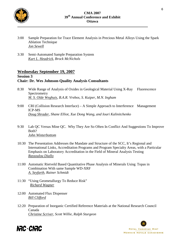

- 3:00 Sample Preparation for Trace Element Analysis in Precious Metal Alloys Using the Spark Ablation Technique *Jon Sewell*
- 3:30 Semi-Automated Sample Preparation System *Kurt L. Headrick, Brock McNichols*

# **Wednesday September 19, 2007**

# **Session 3 Chair: Dr. Wes Johnson-Quality Analysis Consultants**

- 8:30 Wide Range of Analysis of Oxides in Geological Material Using X-Ray Fluorescence Spectrometry *M. S. Olde Weghuis, B.A.R. Vrebos, S. Kuiper, M.N. Ingham*
- 9:00 CRI (Collision Research Interface) A Simple Approach to Interference Management ICP-MS *Doug Shrader, Shane Elliot, Xue Dong Wang, and Iouri Kalinitchenko*
- 9:30 Lab QC Versus Mine QC. Why They Are So Often In Conflict And Suggestions To Improve Both? *John Winterbottom*
- 10:30 The Presentation Addresses the Mandate and Structure of the SCC, It's Regional and International Links, Accreditation Programs and Program Specialty Areas, with a Particular Emphasis on Laboratory Accreditation in the Field of Mineral Analysis Testing *Rassoulou Diallo*
- 11:00 Automatic Rietveld Based Quantitative Phase Analysis of Minerals Using Topas in Combination With same Sample WD-XRF *A. Seyfarth, Rainer Schmidt*
- 11:30 "Using Geometallurgy To Reduce Risk" *Richard Wagner*
- 12:00 Automated Flux Dispenser *Bill Clifford*
- 12:20 Preparation of Inorganic Certified Reference Materials at the National Research Council Canada *Christine Scriver, Scott Willie, Ralph Sturgeon*



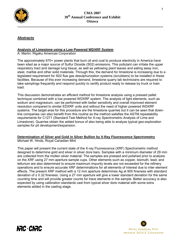

# **Abstracts**

#### **Analysis of Limestone using a Low Powered WDXRF System**

A. Martin, Rigaku Americas Corporation

The approximately 970+ power plants that burn oil and coal to produce electricity in America have been sited as a major source of Sulfur Dioxide (S02) emissions. This pollutant can irritate the upper respiratory tract and damage lung tissue, as well as yellowing plant leaves and eating away iron, steel, marble and other solid materials. Through this, the demand for limestone is increasing due to a legislated requirement for S02 flue gas desulphurization systems (scrubbers) to be installed in these facilities. Because of this ever increasing demand, limestone quarry lab technicians are required to take samplings frequently and respond quickly to certify product ready to release by truck or train load.

This discussion demonstrates an efficient method for limestone analysis using a pressed pellet technique combined with a low powered WDXRF system. The analysis of light elements, such as sodium and magnesium, can be performed with better sensitivity and overall improved element resolution compared to similar EDXRF units and without the need of higher powered WDXRF systems. The target area for this procedure are the limestone quarries but it can be seen that downline companies can also benefit from this routine as the method satisfies the ASTM repeatability requirements for C1271 (Standard Test Method for X-ray Spectrometric Analysis of Lime and Limestone). Quarries obtain the added bonus of also being able to analyze typical geo-exploration samples for pit development/expansion.

#### Michael W. Hinds, Royal Canadian Mint **Determination of Silver and Gold in Silver Bullion by X-Ray Fluorescence Spectrometry**

This paper will present the current state of the X-ray Fluorescence (XRF) Spectrometric method designed to determine gold and silver in silver dore bars. Samples with a minimum diameter of 29 mm are collected from the molten silver material. The samples are pressed and polished prior to analysis on the XRF using 27 mm aperture sample cups. Other elements such as copper, bismuth, lead, and tellurium are also determined to ensure maximum impurity levels are not exceeded for the refinery operations and to ensure accurate XRF determinations for all elements of interest due to inter element effects. The present XRF method with a 12 mm aperture determines Ag at 905 fineness with standard deviation of  $\pm$  0.32 fineness. Using a 27 mm aperture will give a lower standard deviation for the same counting time and will provide greater counts for trace elements in the sample. Better accuracy is also expected by using calibration standards cast from typical silver dore material with some extra elements added in the casting stage.





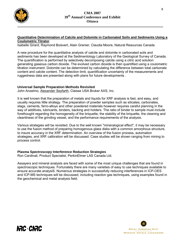

#### **Quantitative Determination of Calcite and Dolomite in Carbonated Soils and Sediments Using a Coulometric Titrator**

Isabelle Girard, Raymond Boisvert, Alain Grenier, Claudia Moore, Natural Resources Canada

A new procedure for the quantitative analysis of calcite and dolomite in carbonated soils and sediments has been developed at the Sedimentology Laboratory of the Geological Survey of Canada. The quantification is performed by selectively decomposing calcite using a citric acid solution generating gaseous carbon dioxide. The evolved carbon dioxide is then quantified using a coulometric titration instrument. Dolomite can be determined by calculating the difference between total carbonate content and calcite content. The detection limit, quantification uncertainty of the measurements and ruggedness data are presented along with plans for future developments .

#### **Universal Sample Preparation Methods Revisited**

John Anzelmo, Alexander Seyfarth, Claisse USA Bruker AXS, Inc.

It is well known that the preparation of metals and liquids for XRF analysis is fast, and easy, and usually requires little strategy. The preparation of powder samples such as silicates, carbonates, slags, cements, ferro-alloys and other powdered materials however requires careful planning in the way of additives, lubricants, binders, backing and holders. The ratio of binder to sample must include forethought regarding the homogeneity of the briquette, the stability of the briquette, the cleaning and cleanliness of the grinding vessel, and the performance requirements of the analysis.

Various strategies will be revisited. Due to the well known "mineralogical effect", it may be necessary to use the fusion method of preparing homogenous glass disks with a common amorphous structure, to insure accuracy in the XRF determination. An overview of the fusion process, automation strategies, and XRF calibration will be discussed. Case studies will be shown ranging from mining to process control.

## **Plasma Spectroscopy Interference Reduction Strategies**

Ron Cardinali, Product Specialist, PerkinElmer LAS Canada Ltd.

Assayers and mineral analysts are faced with some of the most unique challenges that are found in spectroscopic techniques. Fortunately there are many varieties of easy to use techniques available to ensure accurate analysiS. Numerous strategies in successfully reducing interferences in ICP-OES and ICP-MS techniques will be discussed, including reaction gas techniques, using examples found in the geochemical and metal analysis field.



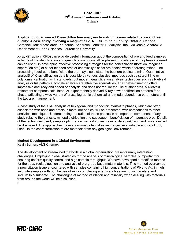

**Application of advanced X~ray diffraction analyses to solving issues related to ore and feed quality: A case study involving a magmatic Fe~Ni~Cu~ mine, Sudbury, Ontario, Canada** Campbell, Ian; Macchiarola, Katherine; Anderson, Jennifer, PANalytical Inc., McDonald, Andrew M Department of Earth Sciences, Laurentian University

X-ray diffraction (XRD) can provide useful information about the composition of ore and feed samples in terms of the identification and quantification of crystalline phases. Knowledge of the phases present can be useful in developing effective processing strategies for the beneficiation (flotation. magnetic separation etc.) of either blended ores or chemically distinct ore bodies within operating mines. The processing required to beneficiate the ore may also dictate the best ore bodies to mine. Quantitative analysiS of X-ray diffraction data is possible by various classical methods such as straight line or polynomial calibration with standards, but modern quantification analysis techniques such as Rietveld analysis or full pattern autoscale analysis are attractive alternatives. The Rietveld method offers impressive accuracy and speed of analysis and does not require the use of standards. A Rietveld refinement compares calculated *vs.* experimentally derived X-ray powder diffraction patterns for a phase, adjusting a wide-variety of crystallographic-, chemical-and modal-abundance parameters until the two are in agreement.

A case study of the XRD analysis of hexagonal and monoclinic pyrrhotite phases, which are often associated with base and precious metal ore bodies, will be presented, with comparisons to other analytical techniques. Understanding the ratios of these phases is an important component of any study relating the genesis, mineral distribution and subsequent beneficiation of magmatic ores. Details of the techniques used, sample optimization methodologies. results, data preCision and limitations will be discussed. The approaches have enormous potential as an inexpensive, reliable and rapid tool, useful in the characterization of ore materials from any geological environment.

## **Method Development in a Global Environment**

Kevin Bunten, ALS Chemex

The development of streamlined methods in a global organization presents many interesting challenges. Employing global strategies for the analysis of mineralogical samples is important for ensuring uniform quality control and high sample throughput. We have developed a modified method for the aqua-regia digestion and analysis of ore-grade base metal materials. This method overcomes a precipitation issue encountered with samples containing high concentrations of Pb and Ag, in high sulphide samples with out the use of extra complexing agents such as ammonium acetate and sodium thio-sulphate. The challenges of method validation and reliability when dealing with materials from around the world will be discussed.

r

**IRC CIRC** 

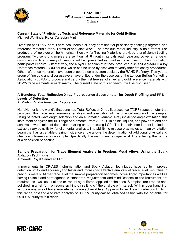

# **Current State of Proficiency Tests and Reference Materials for Gold Bullion**

Michael W. Hinds, Royal Canadian Mint

Over t he pas t 15 y ears, t here has been a st eady dem and f or pr oficiency t esting p rograms and reference materials for all forms of analytical work. The precious metal industry is no different. For producers of gold dor e, t he A merican S ociety for T esting M aterials provides a pr oficiency t esting program. Two se ts of s amples are se nt out at 6 m onth intervals each year and co ver a r ange of compositions. A su mmary of results will be presented as well as examples of the i nformation participants r eceive. A Iternatively, the R oyal C anadian M int has produced a se t of A g-Au-Cu a lloy Reference Material (BRM series), which can be used by assayers to verify their fire assay procedures. Other reference materials have been prepared on a custom basis by the RAND Refinery. This year a group of fine gold and silver assayers have united under the auspices of the London Bullion Marketing Association (LBMA) to produce and certify the first true set of silver and gold reference materials with 20 -25 trace elements in each matrix. The current state of this endeavour will be discussed.

## **A Benchtop Total Reflection X-ray Fluorescence Spectrometer for Depth Profiling and PPB Levels of Detection**

A. Martin, Rigaku Americas Corporation

NanoHunter is the world's first benchtop Total Reflection X-ray fluorescence (TXRF) spectrometer that provides ultra trace level elemental analysis and evaluation of the physical nature of the sample. Using patented wavelength selection and an automated variable X-ray incidence angle excitation, this instrument analyzes the full range of elements -from AI to U -in solids, liquids, and powders and can achieve I ower I imits of det ection rivaling or s urpassing I CP. The N anoHunter i s not I imited t o extraordinary se nsitivity for el emental anal ysis; t he abi lity t o m easure sa mples w ith an ex citation beam that has a variable grazing incidence angle allows the determination of additional physical and chemical information on a sample. Specifically, the instrument is capable of differentiating the nature of a deposition or coating.

# **Sample Preparation for Trace Element Analysis in Precious Metal Alloys Using the Spark Ablation Technique**

J. Sewell, Royal Canadian Mint

Improvements in ICP-AES instrumentation and Spark Ablation techniques have led to improved detection limits and accuracy for faster and more cost effective analysis of trace level impurities in precious metals. At the trace level the sample preparation becomes increaSingly important as well as having r eliable and hom ogeneous standards. A djustments and m odifications to t he i nstrument are required, as well as t rial and er ror usi ng di fferent appl ied t echniques. S amples are t reated and polished in an ef fort to reduce sp iking or sa lting of the anal yte of interest. With p roper handling, accurate analysis of trace level elements are achievable at 1 ppm or lower. Having detection limits in this range, fast and a ccurate analysis of 99.99% purity can be obtained easily, with the potential for 99.999% purity within reach.





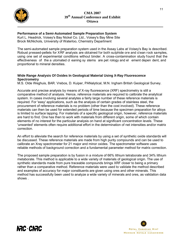

**IRC CIRC** 

# **Performance of a Semi-Automated Sample Preparation System**

Kurt L. Headrick, Voisey's Bay Nickel Co. Ltd., Voisey's Bay Mine Site Brock McNichols, University of Waterloo, Chemistry Department

The semi-automated sample preparation system used in the Assay Labs at Voisey's Bay is described. Robust pressed-pellets for XRF analysis are obtained for both sulphide ore and cl ean rock samples, using one set of experimental conditions without binder. A cross-contamination study found that the effectiveness of the a utomated cl eaning sy stems are pet rology and el ement depen dent, and proportional to mineral densities.

## **Wide Range Analysis Of Oxides In Geological Material Using X-Ray Fluorescence Spectrometry**

M.S. Olde Weghuis, BAR. Vrebos, D. Kuiper, PANalytical, M.N. Ingham British Geological Survey.

Accurate and precise analysis by means of X-ray fluorescence (XRF) spectrometry is still a comparative method of analysis. Hence, reference materials are required to calibrate the analytical system. In cases involving several analytes a fairly large number of these reference materials is required. For 'easy' applications, such as the analysis of certain grades of stainless steel, the procurement of reference materials is no problem (other than the cost involved). These reference materials can then be used for extended periods of time because the specimen preparation for alloys is limited to surface lapping. For materials of a specific geological origin, however, reference materials are hard to find. One has then to work with materials from different origin, some of which contain elements of no interest for the particular analysis on hand at significant concentration levels. These 'unwanted' elements often require additional effort in the determination of net intensities and/or matrix correction.

An effort to alleviate the search for reference materials by using a set of synthetic oxide standards will be discussed. These reference materials are made from high purity compounds and can be used to calibrate an Xray spectrometer for 21 major and minor oxides. The spectrometer software uses reliable methods of background correction and a fundamental parameter method for matrix correction.

The proposed sample preparation is by fusion in a mixture of 66% lithium tetraborate and 34% lithium metaborate. This method is applicable to a wide variety of materials of geological origin. The use of synthetic standards made from pure traceable compounds brings XRF closer to being a primary rather than a comparative method. Reference materials were used to validate the method described and examples of accuracy for major constituents are given using ores and other minerals. This method has successfully been used to analyze a wide variety of minerals and ores, as validation data shows .

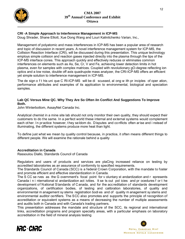

# **CRI -A Simple Approach to Interference Management in ICP-MS**

Doug Shrader, Shane Elliott, Xue Dong Wang and Louri Kalinitchenko Varian, Inc.,

Management of polyatomic and mass interferences in ICP-MS has been a popular area of research and topic of discussion in recent years. A novel interference management system for ICP-MS, the Collision Reaction Interface (CRI), will be discussed during this presentation. This unique technology employs simple collision and reaction gases injected directly into the plasma through the tips of the ICP-MS interface cones. This approach quickly and effectively reduces or eliminates common interferences on elements such as As, Se, Cr, V and Fe, achieving lower detection limits in hot plasma, even for samples with complex matrices. Coupled with revolutionary gO-degree reflecting ion optics and a low noise, double off axis quadrupole mass analyzer, the CRI-ICP-MS offers an efficient yet simple solution to interference management in ICP-MS.

The de sign o f t his uni que C RI-ICP-MS will be di scussed, al ong w ith pr inciples of oper ation, performance attributes and examples of its application to environmental, biological and speciation samples.

## **Lab QC Versus Mine QC. Why They Are So Often iIn Conflict And Suggestions To Improve Both.**

John Winterbottom, AssayNet Canada Inc.

Analytical chemist in a mine site lab should not only monitor their own quality, they should expect their customers to do the same. In a perfect world these internal and external systems would complement each ot her. In practice however, they seldom do. Disputes and conflicts often arise and i nstead of illuminating, the different systems produce more heat than light.

To define just what we mean by quality control because, in practice, it often means different things to different people. We will examine the rationale behind a quality

## **Accreditation in Canada**

Rassoulou Diallo, Standards Council of Canada

Regulators and users of products and services are plaCing increased reliance on testing by accredited laboratories as an assurance of conformity to specified requirements.

The Standards Council of Canada (SCC) is a federal Crown Corporation, with the mandate to foster and promote efficient and effective standardization in Canada.

The S CC se rves as the G overnment's focal point for v oluntary st andardization and r epresents Canada i n i nternational st andardization act ivities. It se ts out pol icies and pr ocedures f or t he development of National Standards of Canada, and for the accreditation of standards development organizations, of certification bodies, of testing and calibration laboratories, of quality and environmental m anagement sy stems registration bodi es and of quality m anagement sy stems and environmental auditor certifiers. The SCC also promotes and supports the principle of recognition of accreditation or equivalent systems as a means of decreasing the number of multiple assessments and audits both in Canada and with Canada's trading partners.

This presentation addresses the mandate and structure of the SCC, its regional and international links, accreditation programs and program specialty areas, with a particular emphasis on laboratory accreditation in the field of mineral analysis testing

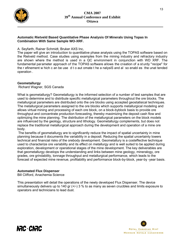

## **Automatic Rietveld Based Quantitative Phase Analysis Of Minerals Using Topas In Combination With Same Sample WO-XRF.**

#### A. Seyfarth, Rainer Schmidt, Bruker AXS Inc,

The paper will give an introduction to quantitative phase analysis using the TOPAS software based on the Rietveld method. Case studies using examples from the mining industry and refractory industry are shown where the method is used in a QC environment in conjunction with WD XRF. The fundamental parameter approach of the TOPAS software allows the creation of a st urdy "recipe" for the r efinement w hich c an be use d t o aut omate t he a nalysiS and al so enabl es the unat tended operation .

#### **Geometallurgy**

Richard Wagner, SGS Canada

What is geometallurgy? Geometallurgy is the informed selection of a number of test samples that are used to determine and to distribute specific metallurgical parameters throughout the ore blocks. The metallurgical parameters are distributed onto the ore blocks using accepted geostatisical techniques. The metallurgical parameters assigned to the ore blocks which supports metallurgical modeling and allows virtual mining and processing of each ore block, on a block-byblock basis to provide ore throughput and concentrate production forecasting, thereby maximizing the deposit cash flow and optimizing the mine planning. The distribution of the metallurgical parameters on the block models are influenced by the geology, structure and lithology. Geometallurgy complements, but does not replace the traditional metallurgical approach during the development and operation of a mine ore body.

The benefits of geometallurgy are to significantly reduce the impact of spatial uncertainty in mine planning because it documents the variability in a deposit. Reducing the spatial uncertainty lowers technical and financial risks of the orebody development. Geometallury is a costeffective technique used to characterize ore variability and its effect on metallurgy and is well suited to be applied during exploration, development or operational stages of the mine development. The key deliverables are that geometallurgy develops the understanding and links between mine geology, mineralogy, ore grades, ore grindability, tonnage throughput and metallurgical performance, which leads to the forecast of expected mine revenue, profitability and performance block-by-block, year-by -year basis.

## **Automated Flux Dispenser**

**IRC CIRC** 

Bill Clifford, Anachemia Science

This presentation will detail the operations of the newly developed Flux Dispenser. The device simultaneously delivers up to 140 gr (+/-) 3 % to as many as seven crucibles and limits exposure to operators and technicians to lead dust.

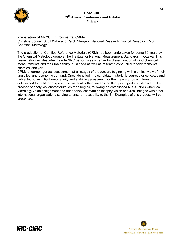

**IRC CIRC** 

# **Preparation of NRCC Environmental CRMs**

Christine Scriver, Scott Willie and Ralph Sturgeon National Research Council Canada -INMS Chemical Metrology

The production of Certified Reference Materials (CRM) has been undertaken for some 30 years by the Chemical Metrology group at the Institute for National Measurement Standards in Ottawa. This presentation will describe the role NRC performs as a center for dissemination of valid chemical measurements and their traceability in Canada as well as research conducted for environmental chemical analysis.

CRMs undergo rigorous assessment at all stages of production, beginning with a critical view of their analytical and economic demand. Once identified, the candidate material is sourced or collected and subjected to an initial homogeneity and stability assessment for the measurands of interest. If determined to be fit for purpose, the material is then suitably bottled, packaged and sterilized. The process of analytical characterization then begins, following an established NRCCINMS Chemical Metrology value assignment and uncertainty estimate philosophy which ensures linkages with other international organizations serving to ensure traceability to the SI. Examples of this process will be presented.

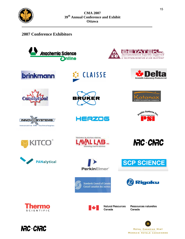

# **2007 Conference Exhibitors**

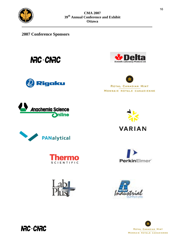

**2007 Conference Sponsors**

**NRC CNRC** 























**NRC CNRC**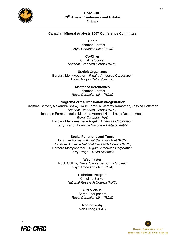

#### **Canadian Mineral Analysts 2007 Conference Committee**

**Chair**

Jonathan Forrest *Royal Canadian Mint (RCM)*

**Co-Chair**

Christine Scriver *National Research Council (NRC)*

**Exhibit Organizers** Barbara Merryweather – *Rigaku Americas Corporation* Larry Drago - *Delta Scientific*

#### **Master of Ceremonies**

Jonathan Forrest *Royal Canadian Mint (RCM)*

#### **Program/Forms/Translations/Registration**

Christine Scriver, Alexandra Shaw, Emilie Lemieux, Jeremy Kampman, Jessica Patterson *National Research Council (NRC)* Jonathan Forrest, Louise MacKay, Armand Nina, Laure Dutirou-Mason *Royal Canadian Mint* Barbara Merryweather – *Rigaku Americas Corporation* Larry Drago , Francine Savorie – *Delta Scientific*

#### **Social Functions and Tours**

Jonathan Forrest – *Royal Canadian Mint (RCM)* Christine Scriver – *National Research Council (NRC)* Barbara Merryweather – *Rigaku Americas Corporation* Larry Drago – *Delta Scientific*

**Webmaster** Robb Collins, Daniel Sancartier, Chris Groleau *Royal Canadian Mint (RCM)*

> **Technical Program** Christine Scriver *National Research Council (NRC)*

**Audio Visual** Serge Beaupariant *Royal Canadian Mint (RCM)*

> **Photography** Van Luong (NRC)